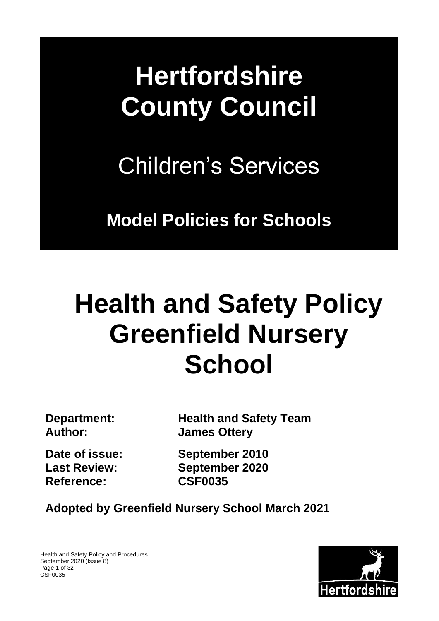# Hertfordshire **Hertfordshire County Council**

Children's Services

**Model Policies for Schools**

# **Health and Safety Policy Greenfield Nursery School**

**Department: Health and Safety Team Author: James Ottery**

**Reference: CSF0035**

**Date of issue: September 2010 Last Review: September 2020** 

**Adopted by Greenfield Nursery School March 2021**

Health and Safety Policy and Procedures September 2020 (Issue 8) Page 1 of 32 CSF0035

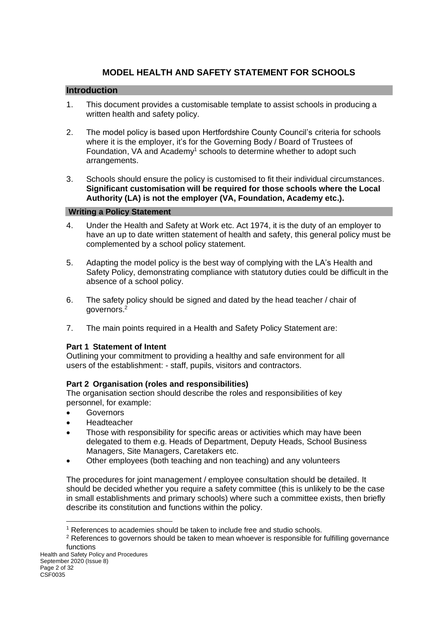# **MODEL HEALTH AND SAFETY STATEMENT FOR SCHOOLS**

#### **Introduction**

- 1. This document provides a customisable template to assist schools in producing a written health and safety policy.
- 2. The model policy is based upon Hertfordshire County Council's criteria for schools where it is the employer, it's for the Governing Body / Board of Trustees of Foundation, VA and Academy<sup>1</sup> schools to determine whether to adopt such arrangements.
- 3. Schools should ensure the policy is customised to fit their individual circumstances. **Significant customisation will be required for those schools where the Local Authority (LA) is not the employer (VA, Foundation, Academy etc.).**

#### **Writing a Policy Statement**

- 4. Under the Health and Safety at Work etc. Act 1974, it is the duty of an employer to have an up to date written statement of health and safety, this general policy must be complemented by a school policy statement.
- 5. Adapting the model policy is the best way of complying with the LA's Health and Safety Policy, demonstrating compliance with statutory duties could be difficult in the absence of a school policy.
- 6. The safety policy should be signed and dated by the head teacher / chair of governors.<sup>2</sup>
- 7. The main points required in a Health and Safety Policy Statement are:

#### **Part 1 Statement of Intent**

Outlining your commitment to providing a healthy and safe environment for all users of the establishment: - staff, pupils, visitors and contractors.

#### **Part 2 Organisation (roles and responsibilities)**

The organisation section should describe the roles and responsibilities of key personnel, for example:

- Governors
- Headteacher
- Those with responsibility for specific areas or activities which may have been delegated to them e.g. Heads of Department, Deputy Heads, School Business Managers, Site Managers, Caretakers etc.
- Other employees (both teaching and non teaching) and any volunteers

The procedures for joint management / employee consultation should be detailed. It should be decided whether you require a safety committee (this is unlikely to be the case in small establishments and primary schools) where such a committee exists, then briefly describe its constitution and functions within the policy.

Health and Safety Policy and Procedures September 2020 (Issue 8) Page 2 of 32 CSF0035

<sup>1</sup> References to academies should be taken to include free and studio schools.

 $2$  References to governors should be taken to mean whoever is responsible for fulfilling governance functions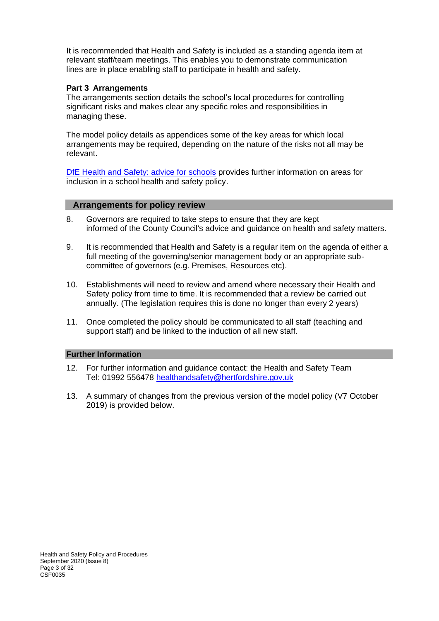It is recommended that Health and Safety is included as a standing agenda item at relevant staff/team meetings. This enables you to demonstrate communication lines are in place enabling staff to participate in health and safety.

#### **Part 3 Arrangements**

The arrangements section details the school's local procedures for controlling significant risks and makes clear any specific roles and responsibilities in managing these.

The model policy details as appendices some of the key areas for which local arrangements may be required, depending on the nature of the risks not all may be relevant.

[DfE Health and Safety: advice for schools](https://www.gov.uk/government/publications/health-and-safety-advice-for-schools) provides further information on areas for inclusion in a school health and safety policy.

#### **Arrangements for policy review**

- 8. Governors are required to take steps to ensure that they are kept informed of the County Council's advice and guidance on health and safety matters.
- 9. It is recommended that Health and Safety is a regular item on the agenda of either a full meeting of the governing/senior management body or an appropriate subcommittee of governors (e.g. Premises, Resources etc).
- 10. Establishments will need to review and amend where necessary their Health and Safety policy from time to time. It is recommended that a review be carried out annually. (The legislation requires this is done no longer than every 2 years)
- 11. Once completed the policy should be communicated to all staff (teaching and support staff) and be linked to the induction of all new staff.

#### **Further Information**

- 12. For further information and guidance contact: the Health and Safety Team Tel: 01992 556478 [healthandsafety@hertfordshire.gov.uk](mailto:healthandsafety@hertfordshire.gov.uk)
- 13. A summary of changes from the previous version of the model policy (V7 October 2019) is provided below.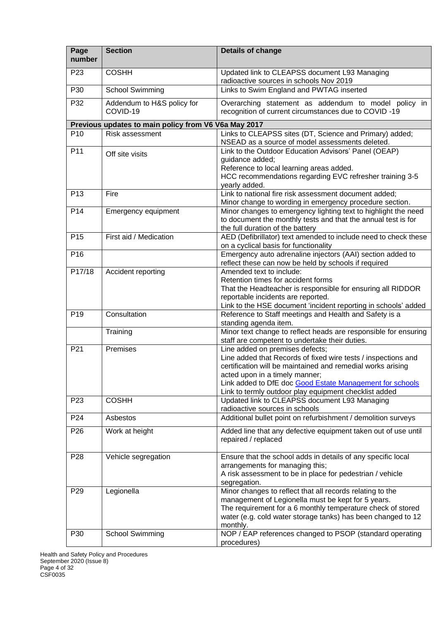| Page<br>number  | <b>Section</b>                                       | <b>Details of change</b>                                                                                                                                                                                                                                                                                               |  |  |
|-----------------|------------------------------------------------------|------------------------------------------------------------------------------------------------------------------------------------------------------------------------------------------------------------------------------------------------------------------------------------------------------------------------|--|--|
| P <sub>23</sub> | <b>COSHH</b>                                         | Updated link to CLEAPSS document L93 Managing<br>radioactive sources in schools Nov 2019                                                                                                                                                                                                                               |  |  |
| P30             | <b>School Swimming</b>                               | Links to Swim England and PWTAG inserted                                                                                                                                                                                                                                                                               |  |  |
| P32             | Addendum to H&S policy for<br>COVID-19               | Overarching statement as addendum to model policy in<br>recognition of current circumstances due to COVID-19                                                                                                                                                                                                           |  |  |
|                 | Previous updates to main policy from V6 V6a May 2017 |                                                                                                                                                                                                                                                                                                                        |  |  |
| P <sub>10</sub> | Risk assessment                                      | Links to CLEAPSS sites (DT, Science and Primary) added;<br>NSEAD as a source of model assessments deleted.                                                                                                                                                                                                             |  |  |
| P11             | Off site visits                                      | Link to the Outdoor Education Advisors' Panel (OEAP)<br>guidance added;<br>Reference to local learning areas added.<br>HCC recommendations regarding EVC refresher training 3-5<br>yearly added.                                                                                                                       |  |  |
| P <sub>13</sub> | Fire                                                 | Link to national fire risk assessment document added;<br>Minor change to wording in emergency procedure section.                                                                                                                                                                                                       |  |  |
| P <sub>14</sub> | Emergency equipment                                  | Minor changes to emergency lighting text to highlight the need<br>to document the monthly tests and that the annual test is for<br>the full duration of the battery                                                                                                                                                    |  |  |
| P <sub>15</sub> | First aid / Medication                               | AED (Defibrillator) text amended to include need to check these<br>on a cyclical basis for functionality                                                                                                                                                                                                               |  |  |
| P <sub>16</sub> |                                                      | Emergency auto adrenaline injectors (AAI) section added to<br>reflect these can now be held by schools if required                                                                                                                                                                                                     |  |  |
| P17/18          | Accident reporting                                   | Amended text to include:<br>Retention times for accident forms<br>That the Headteacher is responsible for ensuring all RIDDOR<br>reportable incidents are reported.<br>Link to the HSE document 'incident reporting in schools' added                                                                                  |  |  |
| P <sub>19</sub> | Consultation                                         | Reference to Staff meetings and Health and Safety is a<br>standing agenda item.                                                                                                                                                                                                                                        |  |  |
|                 | Training                                             | Minor text change to reflect heads are responsible for ensuring<br>staff are competent to undertake their duties.                                                                                                                                                                                                      |  |  |
| P21             | Premises                                             | Line added on premises defects;<br>Line added that Records of fixed wire tests / inspections and<br>certification will be maintained and remedial works arising<br>acted upon in a timely manner;<br>Link added to DfE doc Good Estate Management for schools<br>Link to termly outdoor play equipment checklist added |  |  |
| P <sub>23</sub> | <b>COSHH</b>                                         | Updated link to CLEAPSS document L93 Managing<br>radioactive sources in schools                                                                                                                                                                                                                                        |  |  |
| P <sub>24</sub> | Asbestos                                             | Additional bullet point on refurbishment / demolition surveys                                                                                                                                                                                                                                                          |  |  |
| P <sub>26</sub> | Work at height                                       | Added line that any defective equipment taken out of use until<br>repaired / replaced                                                                                                                                                                                                                                  |  |  |
| P <sub>28</sub> | Vehicle segregation                                  | Ensure that the school adds in details of any specific local<br>arrangements for managing this;<br>A risk assessment to be in place for pedestrian / vehicle<br>segregation.                                                                                                                                           |  |  |
| P <sub>29</sub> | Legionella                                           | Minor changes to reflect that all records relating to the<br>management of Legionella must be kept for 5 years.<br>The requirement for a 6 monthly temperature check of stored<br>water (e.g. cold water storage tanks) has been changed to 12<br>monthly.                                                             |  |  |
| P30             | <b>School Swimming</b>                               | NOP / EAP references changed to PSOP (standard operating<br>procedures)                                                                                                                                                                                                                                                |  |  |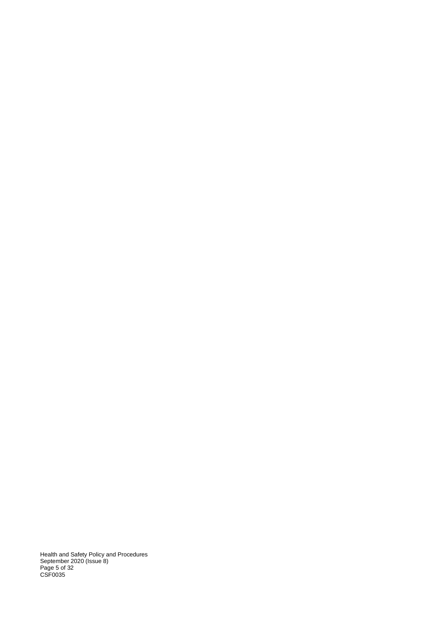Health and Safety Policy and Procedures September 2020 (Issue 8) Page 5 of 32 CSF0035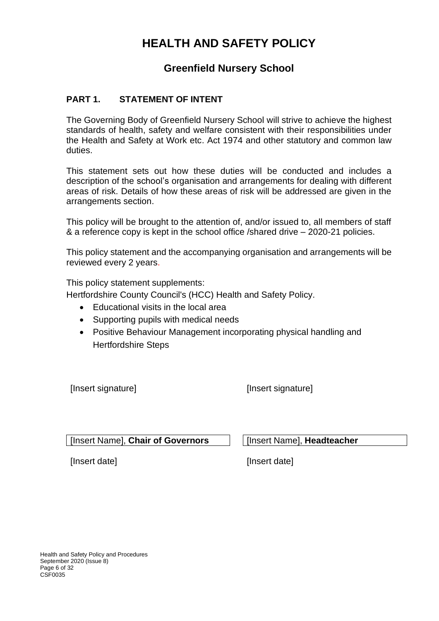# **HEALTH AND SAFETY POLICY**

# **Greenfield Nursery School**

# **PART 1. STATEMENT OF INTENT**

The Governing Body of Greenfield Nursery School will strive to achieve the highest standards of health, safety and welfare consistent with their responsibilities under the Health and Safety at Work etc. Act 1974 and other statutory and common law duties.

This statement sets out how these duties will be conducted and includes a description of the school's organisation and arrangements for dealing with different areas of risk. Details of how these areas of risk will be addressed are given in the arrangements section.

This policy will be brought to the attention of, and/or issued to, all members of staff & a reference copy is kept in the school office /shared drive – 2020-21 policies.

This policy statement and the accompanying organisation and arrangements will be reviewed every 2 years.

This policy statement supplements:

Hertfordshire County Council's (HCC) Health and Safety Policy.

- Educational visits in the local area
- Supporting pupils with medical needs
- Positive Behaviour Management incorporating physical handling and Hertfordshire Steps

[Insert signature] [Insert signature]

**Filnsert Name], Chair of Governors Filmsert Name], Headteacher** 

[Insert date] [Insert date]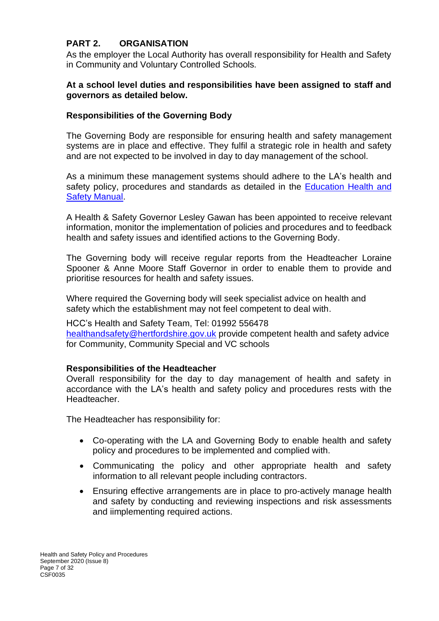# **PART 2. ORGANISATION**

As the employer the Local Authority has overall responsibility for Health and Safety in Community and Voluntary Controlled Schools.

# **At a school level duties and responsibilities have been assigned to staff and governors as detailed below.**

# **Responsibilities of the Governing Body**

The Governing Body are responsible for ensuring health and safety management systems are in place and effective. They fulfil a strategic role in health and safety and are not expected to be involved in day to day management of the school.

As a minimum these management systems should adhere to the LA's health and safety policy, procedures and standards as detailed in the Education Health and **[Safety Manual.](http://www.thegrid.org.uk/info/healthandsafety/manual.shtml)** 

A Health & Safety Governor Lesley Gawan has been appointed to receive relevant information, monitor the implementation of policies and procedures and to feedback health and safety issues and identified actions to the Governing Body.

The Governing body will receive regular reports from the Headteacher Loraine Spooner & Anne Moore Staff Governor in order to enable them to provide and prioritise resources for health and safety issues.

Where required the Governing body will seek specialist advice on health and safety which the establishment may not feel competent to deal with.

HCC's Health and Safety Team, Tel: 01992 556478 [healthandsafety@hertfordshire.gov.uk](mailto:healthandsafety@hertfordshire.gov.uk) provide competent health and safety advice for Community, Community Special and VC schools

# **Responsibilities of the Headteacher**

Overall responsibility for the day to day management of health and safety in accordance with the LA's health and safety policy and procedures rests with the Headteacher.

The Headteacher has responsibility for:

- Co-operating with the LA and Governing Body to enable health and safety policy and procedures to be implemented and complied with.
- Communicating the policy and other appropriate health and safety information to all relevant people including contractors.
- Ensuring effective arrangements are in place to pro-actively manage health and safety by conducting and reviewing inspections and risk assessments and iimplementing required actions.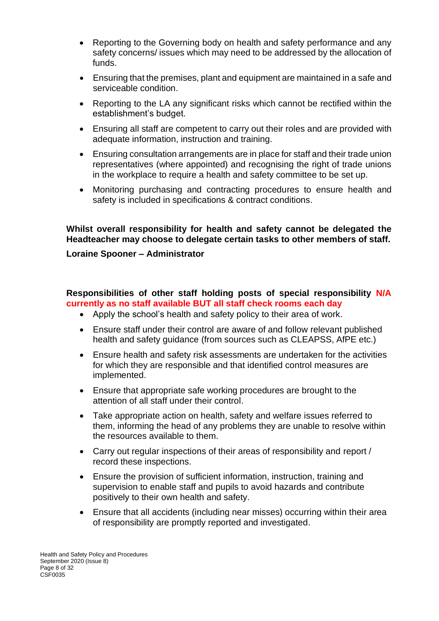- Reporting to the Governing body on health and safety performance and any safety concerns/ issues which may need to be addressed by the allocation of funds.
- Ensuring that the premises, plant and equipment are maintained in a safe and serviceable condition.
- Reporting to the LA any significant risks which cannot be rectified within the establishment's budget.
- Ensuring all staff are competent to carry out their roles and are provided with adequate information, instruction and training.
- Ensuring consultation arrangements are in place for staff and their trade union representatives (where appointed) and recognising the right of trade unions in the workplace to require a health and safety committee to be set up.
- Monitoring purchasing and contracting procedures to ensure health and safety is included in specifications & contract conditions.

**Whilst overall responsibility for health and safety cannot be delegated the Headteacher may choose to delegate certain tasks to other members of staff.**

# **Loraine Spooner – Administrator**

# **Responsibilities of other staff holding posts of special responsibility N/A currently as no staff available BUT all staff check rooms each day**

- Apply the school's health and safety policy to their area of work.
- Ensure staff under their control are aware of and follow relevant published health and safety guidance (from sources such as CLEAPSS, AfPE etc.)
- Ensure health and safety risk assessments are undertaken for the activities for which they are responsible and that identified control measures are implemented.
- Ensure that appropriate safe working procedures are brought to the attention of all staff under their control.
- Take appropriate action on health, safety and welfare issues referred to them, informing the head of any problems they are unable to resolve within the resources available to them.
- Carry out regular inspections of their areas of responsibility and report / record these inspections.
- Ensure the provision of sufficient information, instruction, training and supervision to enable staff and pupils to avoid hazards and contribute positively to their own health and safety.
- Ensure that all accidents (including near misses) occurring within their area of responsibility are promptly reported and investigated.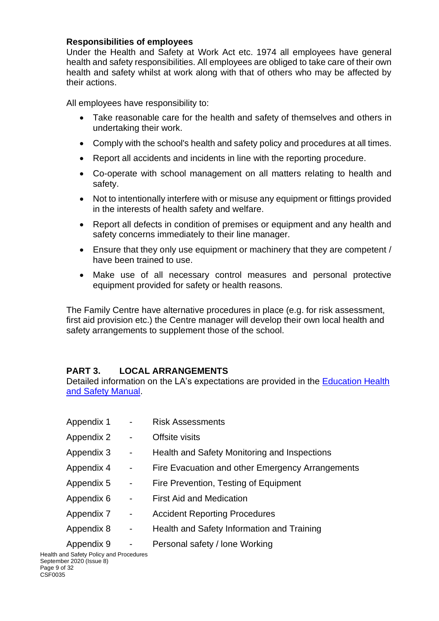# **Responsibilities of employees**

Under the Health and Safety at Work Act etc. 1974 all employees have general health and safety responsibilities. All employees are obliged to take care of their own health and safety whilst at work along with that of others who may be affected by their actions.

All employees have responsibility to:

- Take reasonable care for the health and safety of themselves and others in undertaking their work.
- Comply with the school's health and safety policy and procedures at all times.
- Report all accidents and incidents in line with the reporting procedure.
- Co-operate with school management on all matters relating to health and safety.
- Not to intentionally interfere with or misuse any equipment or fittings provided in the interests of health safety and welfare.
- Report all defects in condition of premises or equipment and any health and safety concerns immediately to their line manager.
- Ensure that they only use equipment or machinery that they are competent / have been trained to use.
- Make use of all necessary control measures and personal protective equipment provided for safety or health reasons.

The Family Centre have alternative procedures in place (e.g. for risk assessment, first aid provision etc.) the Centre manager will develop their own local health and safety arrangements to supplement those of the school.

# **PART 3. LOCAL ARRANGEMENTS**

Detailed information on the LA's expectations are provided in the **Education Health** [and Safety Manual.](http://www.thegrid.org.uk/info/healthandsafety/manual.shtml)

| Appendix 1 | -                            | <b>Risk Assessments</b>                          |
|------------|------------------------------|--------------------------------------------------|
| Appendix 2 | $\overline{a}$               | Offsite visits                                   |
| Appendix 3 | $\overline{\phantom{a}}$     | Health and Safety Monitoring and Inspections     |
| Appendix 4 | $\overline{\phantom{a}}$     | Fire Evacuation and other Emergency Arrangements |
| Appendix 5 | $\overline{\phantom{a}}$     | Fire Prevention, Testing of Equipment            |
| Appendix 6 | $\blacksquare$               | <b>First Aid and Medication</b>                  |
| Appendix 7 | $\blacksquare$               | <b>Accident Reporting Procedures</b>             |
| Appendix 8 | $\qquad \qquad \blacksquare$ | Health and Safety Information and Training       |
| Appendix 9 | -                            | Personal safety / lone Working                   |

Health and Safety Policy and Procedures September 2020 (Issue 8) Page 9 of 32 CSF0035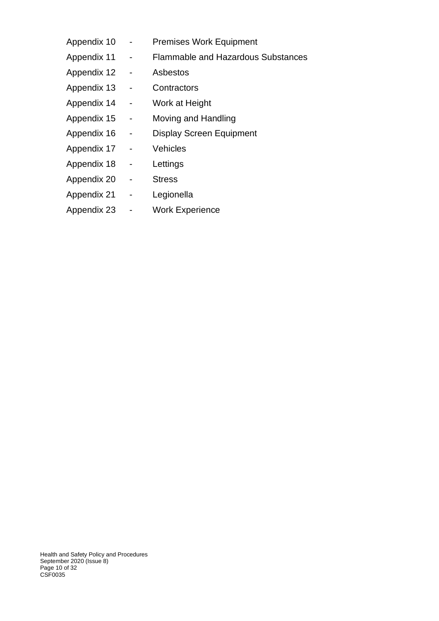| Appendix 10 |   | <b>Premises Work Equipment</b>            |
|-------------|---|-------------------------------------------|
| Appendix 11 |   | <b>Flammable and Hazardous Substances</b> |
| Appendix 12 |   | Asbestos                                  |
| Appendix 13 |   | Contractors                               |
| Appendix 14 | - | Work at Height                            |
| Appendix 15 | - | Moving and Handling                       |
| Appendix 16 |   | <b>Display Screen Equipment</b>           |
| Appendix 17 |   | <b>Vehicles</b>                           |
| Appendix 18 |   | Lettings                                  |
| Appendix 20 |   | <b>Stress</b>                             |
| Appendix 21 | ۳ | Legionella                                |
| Appendix 23 | - | <b>Work Experience</b>                    |
|             |   |                                           |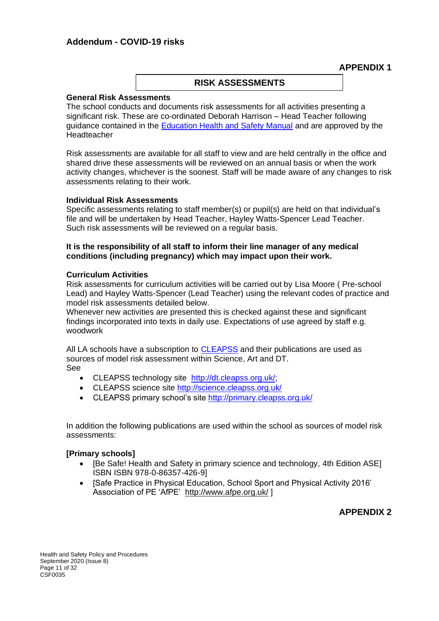# **Addendum - COVID-19 risks**

**APPENDIX 1**

#### **RISK ASSESSMENTS**

#### **General Risk Assessments**

The school conducts and documents risk assessments for all activities presenting a significant risk. These are co-ordinated Deborah Harrison – Head Teacher following guidance contained in the [Education Health and Safety Manual](http://www.thegrid.org.uk/info/healthandsafety/manual.shtml#r) and are approved by the Headteacher

Risk assessments are available for all staff to view and are held centrally in the office and shared drive these assessments will be reviewed on an annual basis or when the work activity changes, whichever is the soonest. Staff will be made aware of any changes to risk assessments relating to their work.

#### **Individual Risk Assessments**

Specific assessments relating to staff member(s) or pupil(s) are held on that individual's file and will be undertaken by Head Teacher, Hayley Watts-Spencer Lead Teacher. Such risk assessments will be reviewed on a regular basis.

#### **It is the responsibility of all staff to inform their line manager of any medical conditions (including pregnancy) which may impact upon their work.**

#### **Curriculum Activities**

Risk assessments for curriculum activities will be carried out by Lisa Moore ( Pre-school Lead) and Hayley Watts-Spencer (Lead Teacher) using the relevant codes of practice and model risk assessments detailed below.

Whenever new activities are presented this is checked against these and significant findings incorporated into texts in daily use. Expectations of use agreed by staff e.g. woodwork

All LA schools have a subscription to [CLEAPSS](http://www.cleapss.org.uk/) and their publications are used as sources of model risk assessment within Science, Art and DT.

See

- CLEAPSS technology site [http://dt.cleapss.org.uk/;](http://dt.cleapss.org.uk/)
- CLEAPSS science site<http://science.cleapss.org.uk/>
- CLEAPSS primary school's site<http://primary.cleapss.org.uk/>

In addition the following publications are used within the school as sources of model risk assessments:

#### **[Primary schools]**

- [Be Safe! Health and Safety in primary science and technology, 4th Edition ASE] ISBN ISBN 978-0-86357-426-9]
- [Safe Practice in Physical Education, School Sport and Physical Activity 2016' Association of PE 'AfPE' <http://www.afpe.org.uk/> ]

#### **APPENDIX 2**

Health and Safety Policy and Procedures September 2020 (Issue 8) Page 11 of 32 CSF0035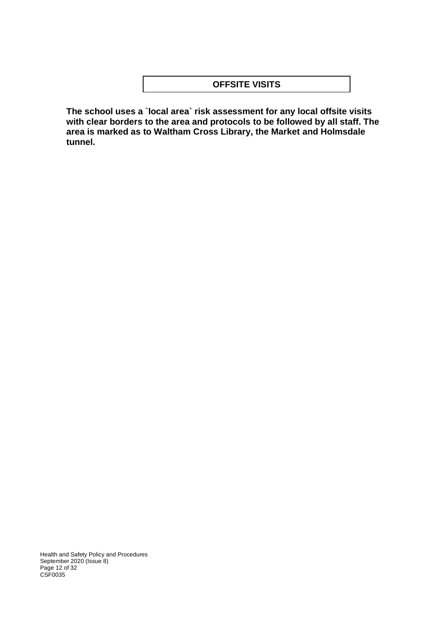# **OFFSITE VISITS**

**The school uses a `local area` risk assessment for any local offsite visits with clear borders to the area and protocols to be followed by all staff. The area is marked as to Waltham Cross Library, the Market and Holmsdale tunnel.** 

Health and Safety Policy and Procedures September 2020 (Issue 8) Page 12 of 32 CSF0035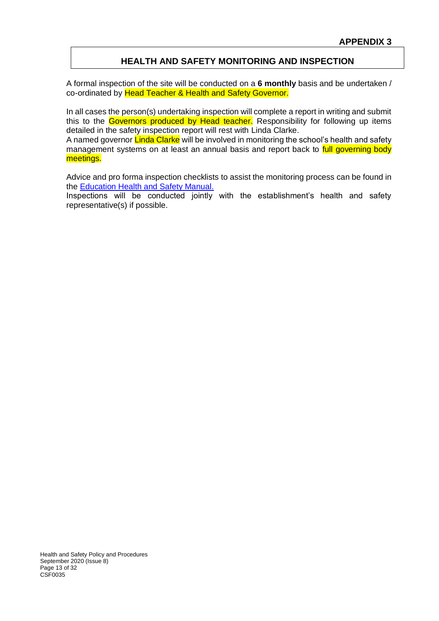# **HEALTH AND SAFETY MONITORING AND INSPECTION**

A formal inspection of the site will be conducted on a **6 monthly** basis and be undertaken / co-ordinated by Head Teacher & Health and Safety Governor.

In all cases the person(s) undertaking inspection will complete a report in writing and submit this to the Governors produced by Head teacher. Responsibility for following up items detailed in the safety inspection report will rest with Linda Clarke.

A named governor Linda Clarke will be involved in monitoring the school's health and safety management systems on at least an annual basis and report back to full governing body meetings.

Advice and pro forma inspection checklists to assist the monitoring process can be found in the [Education Health and Safety Manual.](http://www.thegrid.org.uk/info/healthandsafety/manual.shtml#A)

Inspections will be conducted jointly with the establishment's health and safety representative(s) if possible.

Health and Safety Policy and Procedures September 2020 (Issue 8) Page 13 of 32 CSF0035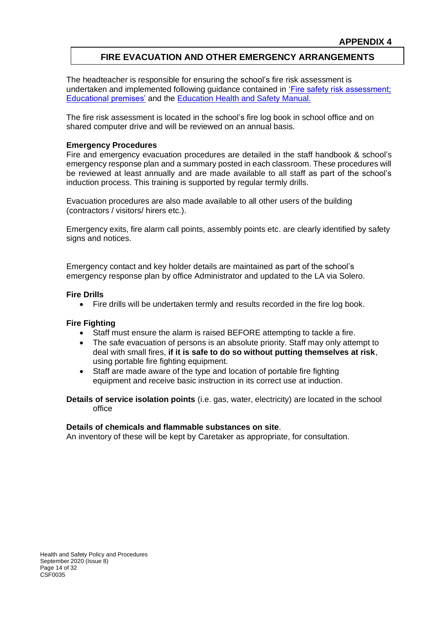# **FIRE EVACUATION AND OTHER EMERGENCY ARRANGEMENTS**

The headteacher is responsible for ensuring the school's fire risk assessment is undertaken and implemented following guidance contained in ['Fire safety risk assessment;](https://www.gov.uk/government/publications/fire-safety-risk-assessment-educational-premises)  [Educational premises'](https://www.gov.uk/government/publications/fire-safety-risk-assessment-educational-premises) and the [Education Health and Safety Manual.](http://www.thegrid.org.uk/info/healthandsafety/fire_safety.shtml) 

The fire risk assessment is located in the school's fire log book in school office and on shared computer drive and will be reviewed on an annual basis.

#### **Emergency Procedures**

Fire and emergency evacuation procedures are detailed in the staff handbook & school's emergency response plan and a summary posted in each classroom. These procedures will be reviewed at least annually and are made available to all staff as part of the school's induction process. This training is supported by regular termly drills.

Evacuation procedures are also made available to all other users of the building (contractors / visitors/ hirers etc.).

Emergency exits, fire alarm call points, assembly points etc. are clearly identified by safety signs and notices.

Emergency contact and key holder details are maintained as part of the school's emergency response plan by office Administrator and updated to the LA via Solero.

#### **Fire Drills**

• Fire drills will be undertaken termly and results recorded in the fire log book.

#### **Fire Fighting**

- Staff must ensure the alarm is raised BEFORE attempting to tackle a fire.
- The safe evacuation of persons is an absolute priority. Staff may only attempt to deal with small fires, **if it is safe to do so without putting themselves at risk**, using portable fire fighting equipment.
- Staff are made aware of the type and location of portable fire fighting equipment and receive basic instruction in its correct use at induction.

**Details of service isolation points** (i.e. gas, water, electricity) are located in the school office

#### **Details of chemicals and flammable substances on site**.

An inventory of these will be kept by Caretaker as appropriate, for consultation.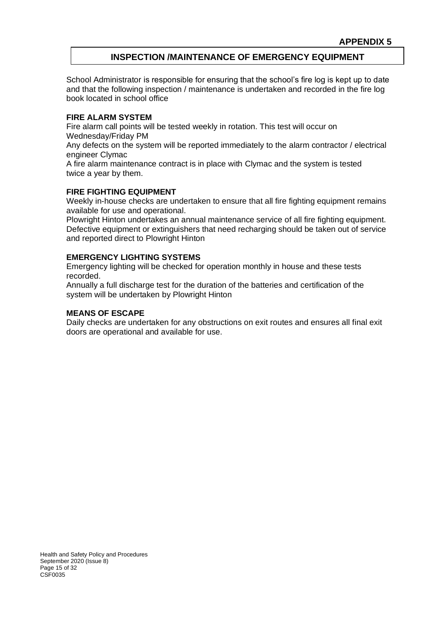# **INSPECTION /MAINTENANCE OF EMERGENCY EQUIPMENT**

School Administrator is responsible for ensuring that the school's fire log is kept up to date and that the following inspection / maintenance is undertaken and recorded in the fire log book located in school office

#### **FIRE ALARM SYSTEM**

Fire alarm call points will be tested weekly in rotation. This test will occur on Wednesday/Friday PM

Any defects on the system will be reported immediately to the alarm contractor / electrical engineer Clymac

A fire alarm maintenance contract is in place with Clymac and the system is tested twice a year by them.

#### **FIRE FIGHTING EQUIPMENT**

Weekly in-house checks are undertaken to ensure that all fire fighting equipment remains available for use and operational.

Plowright Hinton undertakes an annual maintenance service of all fire fighting equipment. Defective equipment or extinguishers that need recharging should be taken out of service and reported direct to Plowright Hinton

#### **EMERGENCY LIGHTING SYSTEMS**

Emergency lighting will be checked for operation monthly in house and these tests recorded.

Annually a full discharge test for the duration of the batteries and certification of the system will be undertaken by Plowright Hinton

#### **MEANS OF ESCAPE**

Daily checks are undertaken for any obstructions on exit routes and ensures all final exit doors are operational and available for use.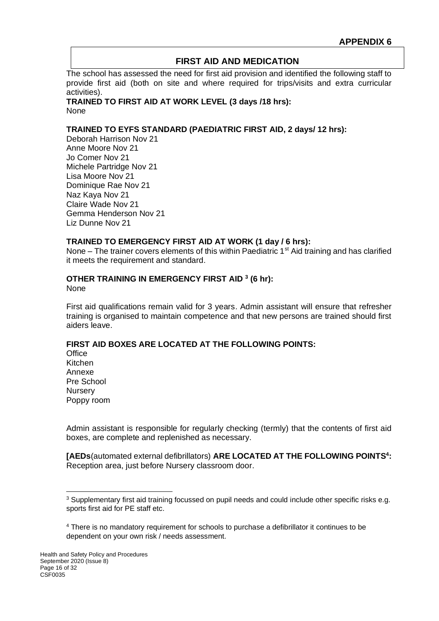# **FIRST AID AND MEDICATION**

The school has assessed the need for first aid provision and identified the following staff to provide first aid (both on site and where required for trips/visits and extra curricular activities).

#### **TRAINED TO FIRST AID AT WORK LEVEL (3 days /18 hrs):** None

#### **TRAINED TO EYFS STANDARD (PAEDIATRIC FIRST AID, 2 days/ 12 hrs):**

Deborah Harrison Nov 21 Anne Moore Nov 21 Jo Comer Nov 21 Michele Partridge Nov 21 Lisa Moore Nov 21 Dominique Rae Nov 21 Naz Kaya Nov 21 Claire Wade Nov 21 Gemma Henderson Nov 21 Liz Dunne Nov 21

#### **TRAINED TO EMERGENCY FIRST AID AT WORK (1 day / 6 hrs):**

None – The trainer covers elements of this within Paediatric  $1<sup>st</sup>$  Aid training and has clarified it meets the requirement and standard.

# **OTHER TRAINING IN EMERGENCY FIRST AID <sup>3</sup> (6 hr):**

None

First aid qualifications remain valid for 3 years. Admin assistant will ensure that refresher training is organised to maintain competence and that new persons are trained should first aiders leave.

# **FIRST AID BOXES ARE LOCATED AT THE FOLLOWING POINTS:**

**Office** Kitchen Annexe Pre School **Nurserv** Poppy room

Admin assistant is responsible for regularly checking (termly) that the contents of first aid boxes, are complete and replenished as necessary.

**[AEDs**(automated external defibrillators) **ARE LOCATED AT THE FOLLOWING POINTS<sup>4</sup> :**  Reception area, just before Nursery classroom door.

<sup>&</sup>lt;sup>3</sup> Supplementary first aid training focussed on pupil needs and could include other specific risks e.g. sports first aid for PE staff etc.

<sup>4</sup> There is no mandatory requirement for schools to purchase a defibrillator it continues to be dependent on your own risk / needs assessment.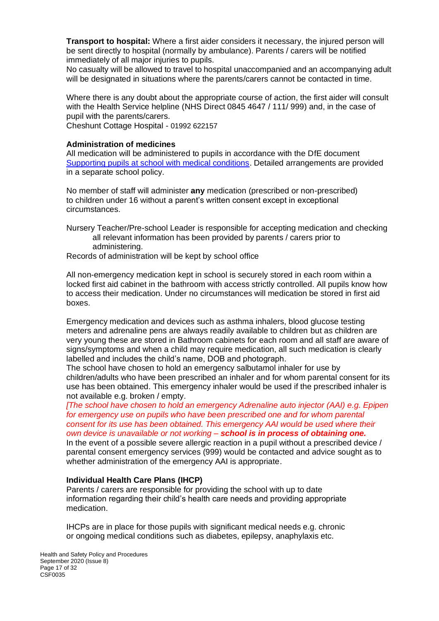**Transport to hospital:** Where a first aider considers it necessary, the injured person will be sent directly to hospital (normally by ambulance). Parents / carers will be notified immediately of all major injuries to pupils.

No casualty will be allowed to travel to hospital unaccompanied and an accompanying adult will be designated in situations where the parents/carers cannot be contacted in time.

Where there is any doubt about the appropriate course of action, the first aider will consult with the Health Service helpline (NHS Direct 0845 4647 / 111/ 999) and, in the case of pupil with the parents/carers.

Cheshunt Cottage Hospital - 01992 622157

#### **Administration of medicines**

All medication will be administered to pupils in accordance with the DfE document [Supporting pupils at school with medical conditions.](https://www.gov.uk/government/publications/supporting-pupils-at-school-with-medical-conditions--3) Detailed arrangements are provided in a separate school policy.

No member of staff will administer **any** medication (prescribed or non-prescribed) to children under 16 without a parent's written consent except in exceptional circumstances.

Nursery Teacher/Pre-school Leader is responsible for accepting medication and checking all relevant information has been provided by parents / carers prior to administering.

Records of administration will be kept by school office

All non-emergency medication kept in school is securely stored in each room within a locked first aid cabinet in the bathroom with access strictly controlled. All pupils know how to access their medication. Under no circumstances will medication be stored in first aid boxes.

Emergency medication and devices such as asthma inhalers, blood glucose testing meters and adrenaline pens are always readily available to children but as children are very young these are stored in Bathroom cabinets for each room and all staff are aware of signs/symptoms and when a child may require medication, all such medication is clearly labelled and includes the child's name, DOB and photograph.

The school have chosen to hold an emergency salbutamol inhaler for use by children/adults who have been prescribed an inhaler and for whom parental consent for its use has been obtained. This emergency inhaler would be used if the prescribed inhaler is not available e.g. broken / empty.

*[The school have chosen to hold an emergency Adrenaline auto injector (AAI) e.g. Epipen*  for emergency use on pupils who have been prescribed one and for whom parental *consent for its use has been obtained. This emergency AAI would be used where their own device is unavailable or not working – school is in process of obtaining one.* 

In the event of a possible severe allergic reaction in a pupil without a prescribed device / parental consent emergency services (999) would be contacted and advice sought as to whether administration of the emergency AAI is appropriate.

#### **Individual Health Care Plans (IHCP)**

Parents / carers are responsible for providing the school with up to date information regarding their child's health care needs and providing appropriate medication.

IHCPs are in place for those pupils with significant medical needs e.g. chronic or ongoing medical conditions such as diabetes, epilepsy, anaphylaxis etc.

Health and Safety Policy and Procedures September 2020 (Issue 8) Page 17 of 32 CSF0035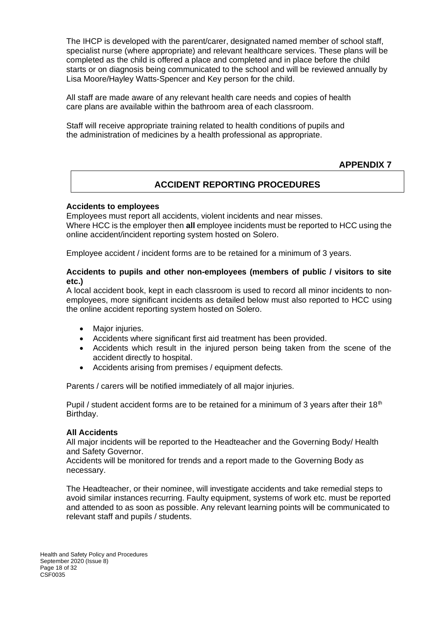The IHCP is developed with the parent/carer, designated named member of school staff, specialist nurse (where appropriate) and relevant healthcare services. These plans will be completed as the child is offered a place and completed and in place before the child starts or on diagnosis being communicated to the school and will be reviewed annually by Lisa Moore/Hayley Watts-Spencer and Key person for the child.

All staff are made aware of any relevant health care needs and copies of health care plans are available within the bathroom area of each classroom.

Staff will receive appropriate training related to health conditions of pupils and the administration of medicines by a health professional as appropriate.

# **APPENDIX 7**

# **ACCIDENT REPORTING PROCEDURES**

#### **Accidents to employees**

Employees must report all accidents, violent incidents and near misses. Where HCC is the employer then **all** employee incidents must be reported to HCC using the online accident/incident reporting system hosted on Solero.

Employee accident / incident forms are to be retained for a minimum of 3 years.

#### **Accidents to pupils and other non-employees (members of public / visitors to site etc.)**

A local accident book, kept in each classroom is used to record all minor incidents to nonemployees, more significant incidents as detailed below must also reported to HCC using the online accident reporting system hosted on Solero.

- Major injuries.
- Accidents where significant first aid treatment has been provided.
- Accidents which result in the injured person being taken from the scene of the accident directly to hospital.
- Accidents arising from premises / equipment defects.

Parents / carers will be notified immediately of all major injuries.

Pupil / student accident forms are to be retained for a minimum of 3 years after their  $18<sup>th</sup>$ Birthday.

#### **All Accidents**

All major incidents will be reported to the Headteacher and the Governing Body/ Health and Safety Governor.

Accidents will be monitored for trends and a report made to the Governing Body as necessary.

The Headteacher, or their nominee, will investigate accidents and take remedial steps to avoid similar instances recurring. Faulty equipment, systems of work etc. must be reported and attended to as soon as possible. Any relevant learning points will be communicated to relevant staff and pupils / students.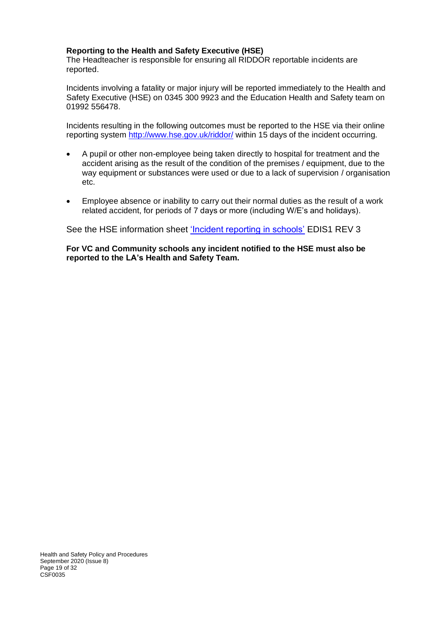#### **Reporting to the Health and Safety Executive (HSE)**

The Headteacher is responsible for ensuring all RIDDOR reportable incidents are reported.

Incidents involving a fatality or major injury will be reported immediately to the Health and Safety Executive (HSE) on 0345 300 9923 and the Education Health and Safety team on 01992 556478.

Incidents resulting in the following outcomes must be reported to the HSE via their online reporting system <http://www.hse.gov.uk/riddor/> within 15 days of the incident occurring.

- A pupil or other non-employee being taken directly to hospital for treatment and the accident arising as the result of the condition of the premises / equipment, due to the way equipment or substances were used or due to a lack of supervision / organisation etc.
- Employee absence or inability to carry out their normal duties as the result of a work related accident, for periods of 7 days or more (including W/E's and holidays).

See the HSE information sheet ['Incident reporting in schools'](http://www.hse.gov.uk/pubns/edis1.pdf) EDIS1 REV 3

**For VC and Community schools any incident notified to the HSE must also be reported to the LA's Health and Safety Team.**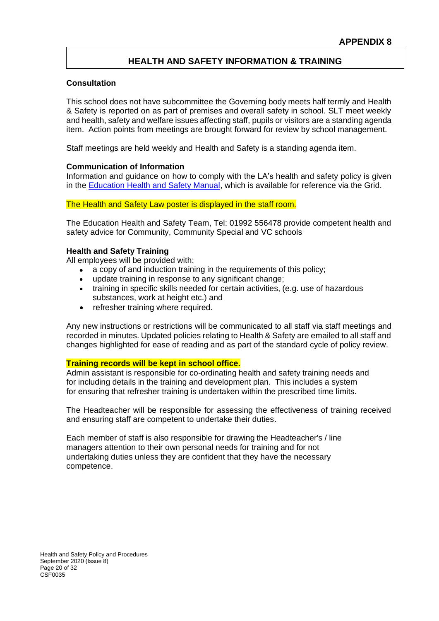# **HEALTH AND SAFETY INFORMATION & TRAINING**

#### **Consultation**

This school does not have subcommittee the Governing body meets half termly and Health & Safety is reported on as part of premises and overall safety in school. SLT meet weekly and health, safety and welfare issues affecting staff, pupils or visitors are a standing agenda item. Action points from meetings are brought forward for review by school management.

Staff meetings are held weekly and Health and Safety is a standing agenda item.

#### **Communication of Information**

Information and guidance on how to comply with the LA's health and safety policy is given in the [Education Health and Safety Manual,](http://www.thegrid.org.uk/info/healthandsafety/manual.shtml#p) which is available for reference via the Grid.

#### The Health and Safety Law poster is displayed in the staff room.

The Education Health and Safety Team, Tel: 01992 556478 provide competent health and safety advice for Community, Community Special and VC schools

#### **Health and Safety Training**

All employees will be provided with:

- a copy of and induction training in the requirements of this policy;
- update training in response to any significant change:
- training in specific skills needed for certain activities, (e.g. use of hazardous substances, work at height etc.) and
- refresher training where required.

Any new instructions or restrictions will be communicated to all staff via staff meetings and recorded in minutes. Updated policies relating to Health & Safety are emailed to all staff and changes highlighted for ease of reading and as part of the standard cycle of policy review.

#### **Training records will be kept in school office.**

Admin assistant is responsible for co-ordinating health and safety training needs and for including details in the training and development plan. This includes a system for ensuring that refresher training is undertaken within the prescribed time limits.

The Headteacher will be responsible for assessing the effectiveness of training received and ensuring staff are competent to undertake their duties.

Each member of staff is also responsible for drawing the Headteacher's / line managers attention to their own personal needs for training and for not undertaking duties unless they are confident that they have the necessary competence.

Health and Safety Policy and Procedures September 2020 (Issue 8) Page 20 of 32 CSF0035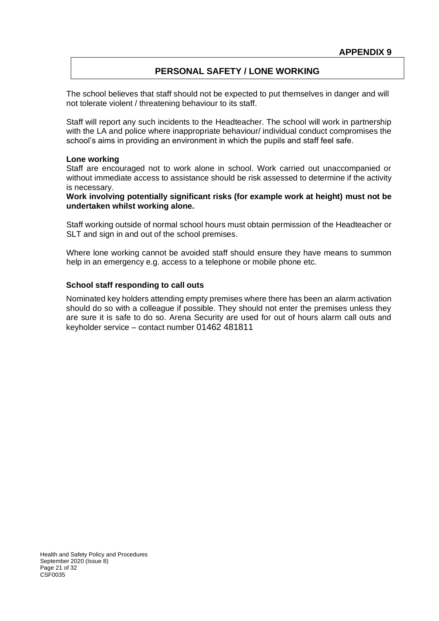# **PERSONAL SAFETY / LONE WORKING**

The school believes that staff should not be expected to put themselves in danger and will not tolerate violent / threatening behaviour to its staff.

Staff will report any such incidents to the Headteacher. The school will work in partnership with the LA and police where inappropriate behaviour/ individual conduct compromises the school's aims in providing an environment in which the pupils and staff feel safe.

#### **Lone working**

Staff are encouraged not to work alone in school. Work carried out unaccompanied or without immediate access to assistance should be risk assessed to determine if the activity is necessary.

#### **Work involving potentially significant risks (for example work at height) must not be undertaken whilst working alone.**

Staff working outside of normal school hours must obtain permission of the Headteacher or SLT and sign in and out of the school premises.

Where lone working cannot be avoided staff should ensure they have means to summon help in an emergency e.g. access to a telephone or mobile phone etc.

#### **School staff responding to call outs**

Nominated key holders attending empty premises where there has been an alarm activation should do so with a colleague if possible. They should not enter the premises unless they are sure it is safe to do so. Arena Security are used for out of hours alarm call outs and keyholder service – contact number 01462 481811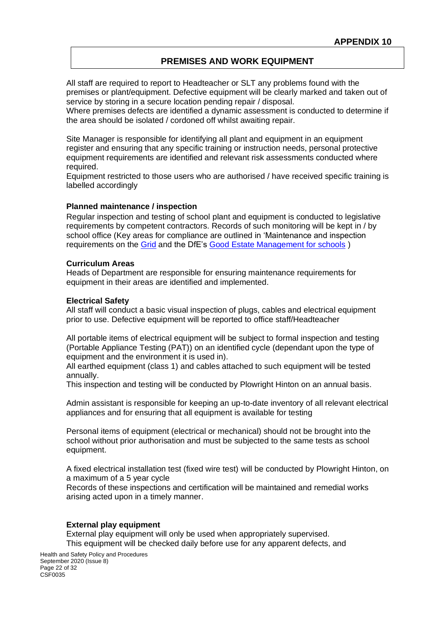# **PREMISES AND WORK EQUIPMENT**

All staff are required to report to Headteacher or SLT any problems found with the premises or plant/equipment. Defective equipment will be clearly marked and taken out of service by storing in a secure location pending repair / disposal.

Where premises defects are identified a dynamic assessment is conducted to determine if the area should be isolated / cordoned off whilst awaiting repair.

Site Manager is responsible for identifying all plant and equipment in an equipment register and ensuring that any specific training or instruction needs, personal protective equipment requirements are identified and relevant risk assessments conducted where required.

Equipment restricted to those users who are authorised / have received specific training is labelled accordingly

#### **Planned maintenance / inspection**

Regular inspection and testing of school plant and equipment is conducted to legislative requirements by competent contractors. Records of such monitoring will be kept in / by school office (Key areas for compliance are outlined in 'Maintenance and inspection requirements on the [Grid](http://www.thegrid.org.uk/info/healthandsafety/manual.shtml#m) and the DfE's [Good Estate Management for schools](https://www.gov.uk/guidance/good-estate-management-for-schools/health-and-safety) )

#### **Curriculum Areas**

Heads of Department are responsible for ensuring maintenance requirements for equipment in their areas are identified and implemented.

#### **Electrical Safety**

All staff will conduct a basic visual inspection of plugs, cables and electrical equipment prior to use. Defective equipment will be reported to office staff/Headteacher

All portable items of electrical equipment will be subject to formal inspection and testing (Portable Appliance Testing (PAT)) on an identified cycle (dependant upon the type of equipment and the environment it is used in).

All earthed equipment (class 1) and cables attached to such equipment will be tested annually.

This inspection and testing will be conducted by Plowright Hinton on an annual basis.

Admin assistant is responsible for keeping an up-to-date inventory of all relevant electrical appliances and for ensuring that all equipment is available for testing

Personal items of equipment (electrical or mechanical) should not be brought into the school without prior authorisation and must be subjected to the same tests as school equipment.

A fixed electrical installation test (fixed wire test) will be conducted by Plowright Hinton, on a maximum of a 5 year cycle

Records of these inspections and certification will be maintained and remedial works arising acted upon in a timely manner.

#### **External play equipment**

External play equipment will only be used when appropriately supervised. This equipment will be checked daily before use for any apparent defects, and

Health and Safety Policy and Procedures September 2020 (Issue 8) Page 22 of 32 CSF0035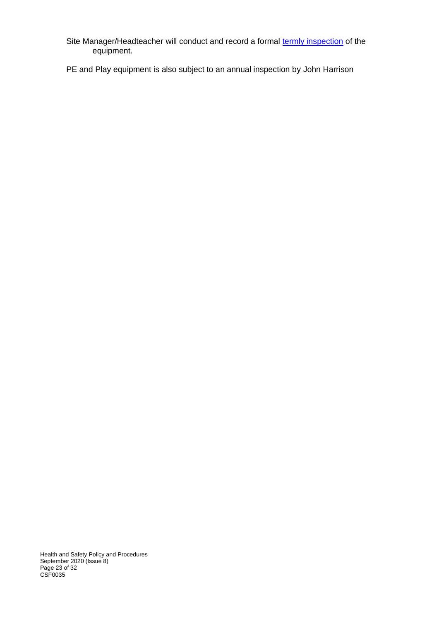Site Manager/Headteacher will conduct and record a formal [termly inspection](http://www.thegrid.org.uk/info/healthandsafety/documents_manual/outdoor_play_equipment_checklist.doc) of the equipment.

PE and Play equipment is also subject to an annual inspection by John Harrison

Health and Safety Policy and Procedures September 2020 (Issue 8) Page 23 of 32 CSF0035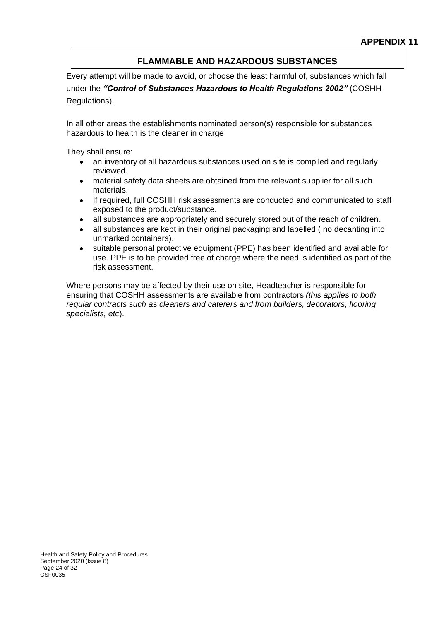# **FLAMMABLE AND HAZARDOUS SUBSTANCES**

Every attempt will be made to avoid, or choose the least harmful of, substances which fall under the *"Control of Substances Hazardous to Health Regulations 2002"* (COSHH Regulations).

In all other areas the establishments nominated person(s) responsible for substances hazardous to health is the cleaner in charge

They shall ensure:

- an inventory of all hazardous substances used on site is compiled and regularly reviewed.
- material safety data sheets are obtained from the relevant supplier for all such materials.
- If required, full COSHH risk assessments are conducted and communicated to staff exposed to the product/substance.
- all substances are appropriately and securely stored out of the reach of children.
- all substances are kept in their original packaging and labelled ( no decanting into unmarked containers).
- suitable personal protective equipment (PPE) has been identified and available for use. PPE is to be provided free of charge where the need is identified as part of the risk assessment.

Where persons may be affected by their use on site, Headteacher is responsible for ensuring that COSHH assessments are available from contractors *(this applies to both regular contracts such as cleaners and caterers and from builders, decorators, flooring specialists, etc*).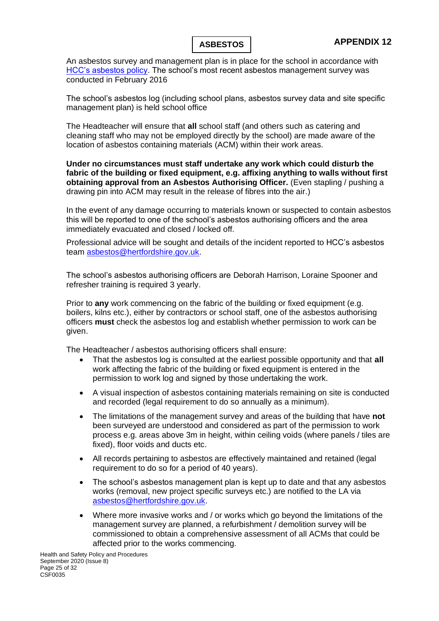# **ASBESTOS**

An asbestos survey and management plan is in place for the school in accordance with [HCC's asbestos policy.](http://www.thegrid.org.uk/info/healthandsafety/manual.shtml#A) The school's most recent asbestos management survey was conducted in February 2016

The school's asbestos log (including school plans, asbestos survey data and site specific management plan) is held school office

The Headteacher will ensure that **all** school staff (and others such as catering and cleaning staff who may not be employed directly by the school) are made aware of the location of asbestos containing materials (ACM) within their work areas.

**Under no circumstances must staff undertake any work which could disturb the fabric of the building or fixed equipment, e.g. affixing anything to walls without first obtaining approval from an Asbestos Authorising Officer.** (Even stapling / pushing a drawing pin into ACM may result in the release of fibres into the air.)

In the event of any damage occurring to materials known or suspected to contain asbestos this will be reported to one of the school's asbestos authorising officers and the area immediately evacuated and closed / locked off.

Professional advice will be sought and details of the incident reported to HCC's asbestos team [asbestos@hertfordshire.gov.uk.](mailto:asbestos@hertfordshire.gov.uk)

The school's asbestos authorising officers are Deborah Harrison, Loraine Spooner and refresher training is required 3 yearly.

Prior to **any** work commencing on the fabric of the building or fixed equipment (e.g. boilers, kilns etc.), either by contractors or school staff, one of the asbestos authorising officers **must** check the asbestos log and establish whether permission to work can be given.

The Headteacher / asbestos authorising officers shall ensure:

- That the asbestos log is consulted at the earliest possible opportunity and that **all** work affecting the fabric of the building or fixed equipment is entered in the permission to work log and signed by those undertaking the work.
- A visual inspection of asbestos containing materials remaining on site is conducted and recorded (legal requirement to do so annually as a minimum).
- The limitations of the management survey and areas of the building that have **not** been surveyed are understood and considered as part of the permission to work process e.g. areas above 3m in height, within ceiling voids (where panels / tiles are fixed), floor voids and ducts etc.
- All records pertaining to asbestos are effectively maintained and retained (legal requirement to do so for a period of 40 years).
- The school's asbestos management plan is kept up to date and that any asbestos works (removal, new project specific surveys etc.) are notified to the LA via [asbestos@hertfordshire.gov.uk.](mailto:asbestos@hertfordshire.gov.uk)
- Where more invasive works and / or works which go beyond the limitations of the management survey are planned, a refurbishment / demolition survey will be commissioned to obtain a comprehensive assessment of all ACMs that could be affected prior to the works commencing.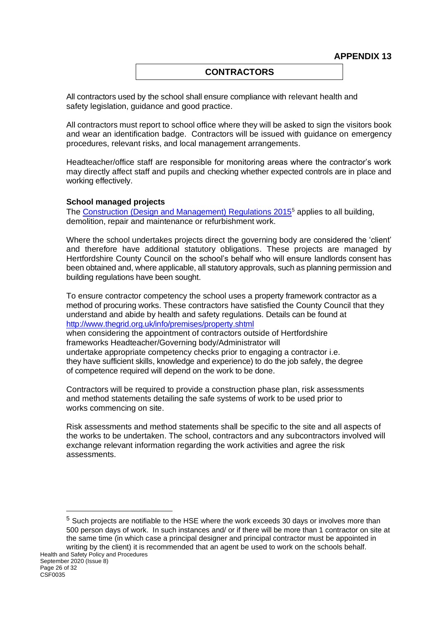# **CONTRACTORS**

All contractors used by the school shall ensure compliance with relevant health and safety legislation, guidance and good practice.

All contractors must report to school office where they will be asked to sign the visitors book and wear an identification badge. Contractors will be issued with guidance on emergency procedures, relevant risks, and local management arrangements.

Headteacher/office staff are responsible for monitoring areas where the contractor's work may directly affect staff and pupils and checking whether expected controls are in place and working effectively.

#### **School managed projects**

The [Construction \(Design and Management\) Regulations 2015](http://www.hse.gov.uk/construction/cdm/2015/index.htm?ebul=gd-cons/jun15&cr=1)<sup>5</sup> applies to all building, demolition, repair and maintenance or refurbishment work.

Where the school undertakes projects direct the governing body are considered the 'client' and therefore have additional statutory obligations. These projects are managed by Hertfordshire County Council on the school's behalf who will ensure landlords consent has been obtained and, where applicable, all statutory approvals, such as planning permission and building regulations have been sought.

To ensure contractor competency the school uses a property framework contractor as a method of procuring works. These contractors have satisfied the County Council that they understand and abide by health and safety regulations. Details can be found at <http://www.thegrid.org.uk/info/premises/property.shtml> when considering the appointment of contractors outside of Hertfordshire frameworks Headteacher/Governing body/Administrator will undertake appropriate competency checks prior to engaging a contractor i.e. they have sufficient skills, knowledge and experience) to do the job safely, the degree of competence required will depend on the work to be done.

Contractors will be required to provide a construction phase plan, risk assessments and method statements detailing the safe systems of work to be used prior to works commencing on site.

Risk assessments and method statements shall be specific to the site and all aspects of the works to be undertaken. The school, contractors and any subcontractors involved will exchange relevant information regarding the work activities and agree the risk assessments.

Health and Safety Policy and Procedures September 2020 (Issue 8) Page 26 of 32

 $<sup>5</sup>$  Such projects are notifiable to the HSE where the work exceeds 30 days or involves more than</sup> 500 person days of work. In such instances and/ or if there will be more than 1 contractor on site at the same time (in which case a principal designer and principal contractor must be appointed in writing by the client) it is recommended that an agent be used to work on the schools behalf.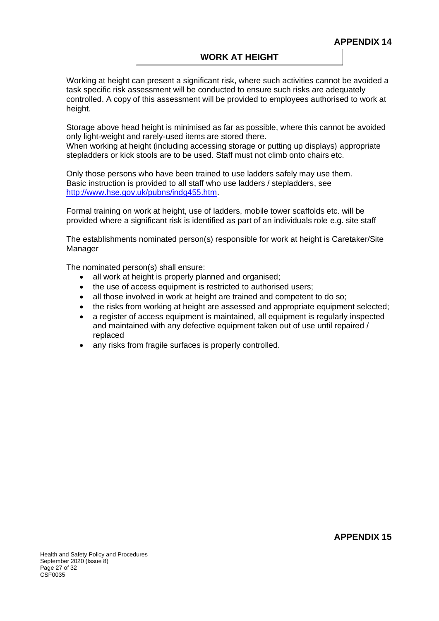# **WORK AT HEIGHT**

Working at height can present a significant risk, where such activities cannot be avoided a task specific risk assessment will be conducted to ensure such risks are adequately controlled. A copy of this assessment will be provided to employees authorised to work at height.

Storage above head height is minimised as far as possible, where this cannot be avoided only light-weight and rarely-used items are stored there.

When working at height (including accessing storage or putting up displays) appropriate stepladders or kick stools are to be used. Staff must not climb onto chairs etc.

Only those persons who have been trained to use ladders safely may use them. Basic instruction is provided to all staff who use ladders / stepladders, see [http://www.hse.gov.uk/pubns/indg455.htm.](http://www.hse.gov.uk/pubns/indg455.htm)

Formal training on work at height, use of ladders, mobile tower scaffolds etc. will be provided where a significant risk is identified as part of an individuals role e.g. site staff

The establishments nominated person(s) responsible for work at height is Caretaker/Site Manager

The nominated person(s) shall ensure:

- all work at height is properly planned and organised;
- the use of access equipment is restricted to authorised users;
- all those involved in work at height are trained and competent to do so;
- the risks from working at height are assessed and appropriate equipment selected;
- a register of access equipment is maintained, all equipment is regularly inspected and maintained with any defective equipment taken out of use until repaired / replaced
- any risks from fragile surfaces is properly controlled.

**APPENDIX 15**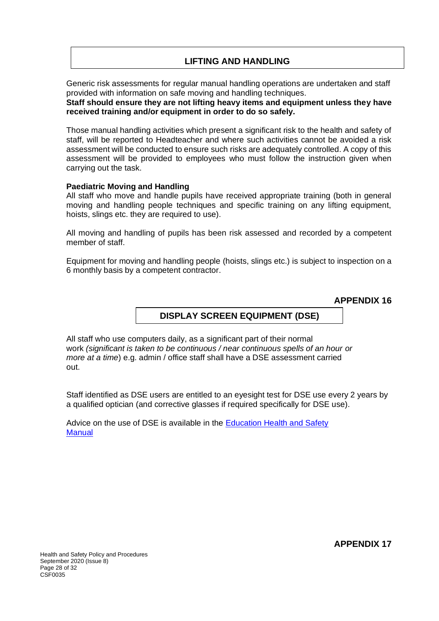# **LIFTING AND HANDLING**

Generic risk assessments for regular manual handling operations are undertaken and staff provided with information on safe moving and handling techniques.

#### **Staff should ensure they are not lifting heavy items and equipment unless they have received training and/or equipment in order to do so safely.**

Those manual handling activities which present a significant risk to the health and safety of staff, will be reported to Headteacher and where such activities cannot be avoided a risk assessment will be conducted to ensure such risks are adequately controlled. A copy of this assessment will be provided to employees who must follow the instruction given when carrying out the task.

#### **Paediatric Moving and Handling**

All staff who move and handle pupils have received appropriate training (both in general moving and handling people techniques and specific training on any lifting equipment, hoists, slings etc. they are required to use).

All moving and handling of pupils has been risk assessed and recorded by a competent member of staff.

Equipment for moving and handling people (hoists, slings etc.) is subject to inspection on a 6 monthly basis by a competent contractor.

**APPENDIX 16**

#### **DISPLAY SCREEN EQUIPMENT (DSE)**

All staff who use computers daily, as a significant part of their normal work *(significant is taken to be continuous / near continuous spells of an hour or more at a time*) e.g. admin / office staff shall have a DSE assessment carried out.

Staff identified as DSE users are entitled to an eyesight test for DSE use every 2 years by a qualified optician (and corrective glasses if required specifically for DSE use).

Advice on the use of DSE is available in the **Education Health and Safety Manual** 

**APPENDIX 17**

Health and Safety Policy and Procedures September 2020 (Issue 8) Page 28 of 32 CSF0035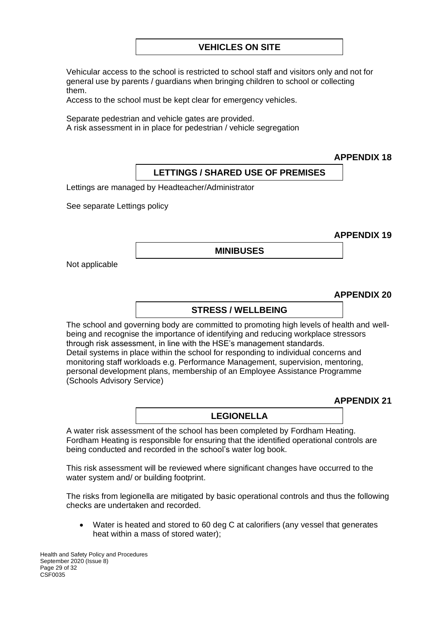# **VEHICLES ON SITE**

Vehicular access to the school is restricted to school staff and visitors only and not for general use by parents / guardians when bringing children to school or collecting them.

Access to the school must be kept clear for emergency vehicles.

Separate pedestrian and vehicle gates are provided. A risk assessment in in place for pedestrian / vehicle segregation

# **LETTINGS / SHARED USE OF PREMISES**

Lettings are managed by Headteacher/Administrator

See separate Lettings policy

**APPENDIX 19**

**APPENDIX 18**

**MINIBUSES**

Not applicable

# **APPENDIX 20**

# **STRESS / WELLBEING**

The school and governing body are committed to promoting high levels of health and wellbeing and recognise the importance of identifying and reducing workplace stressors through risk assessment, in line with the HSE's management standards. Detail systems in place within the school for responding to individual concerns and monitoring staff workloads e.g. Performance Management, supervision, mentoring, personal development plans, membership of an Employee Assistance Programme (Schools Advisory Service)



A water risk assessment of the school has been completed by Fordham Heating. Fordham Heating is responsible for ensuring that the identified operational controls are being conducted and recorded in the school's water log book.

This risk assessment will be reviewed where significant changes have occurred to the water system and/ or building footprint.

The risks from legionella are mitigated by basic operational controls and thus the following checks are undertaken and recorded.

• Water is heated and stored to 60 deg C at calorifiers (any vessel that generates heat within a mass of stored water);

Health and Safety Policy and Procedures September 2020 (Issue 8) Page 29 of 32 CSF0035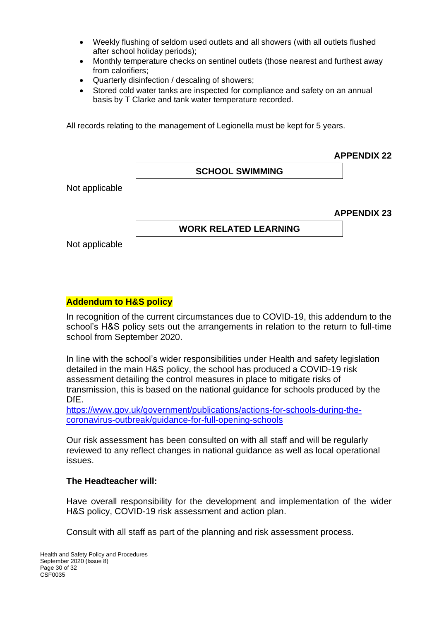- Weekly flushing of seldom used outlets and all showers (with all outlets flushed after school holiday periods);
- Monthly temperature checks on sentinel outlets (those nearest and furthest away from calorifiers;
- Quarterly disinfection / descaling of showers;
- Stored cold water tanks are inspected for compliance and safety on an annual basis by T Clarke and tank water temperature recorded.

All records relating to the management of Legionella must be kept for 5 years.

| <b>APPENDIX 22</b> |  |
|--------------------|--|
|--------------------|--|

# **SCHOOL SWIMMING**

Not applicable

**APPENDIX 23**

**WORK RELATED LEARNING** 

Not applicable

# **Addendum to H&S policy**

In recognition of the current circumstances due to COVID-19, this addendum to the school's H&S policy sets out the arrangements in relation to the return to full-time school from September 2020.

In line with the school's wider responsibilities under Health and safety legislation detailed in the main H&S policy, the school has produced a COVID-19 risk assessment detailing the control measures in place to mitigate risks of transmission, this is based on the national guidance for schools produced by the DfE.

[https://www.gov.uk/government/publications/actions-for-schools-during-the](https://www.gov.uk/government/publications/actions-for-schools-during-the-coronavirus-outbreak/guidance-for-full-opening-schools)[coronavirus-outbreak/guidance-for-full-opening-schools](https://www.gov.uk/government/publications/actions-for-schools-during-the-coronavirus-outbreak/guidance-for-full-opening-schools)

Our risk assessment has been consulted on with all staff and will be regularly reviewed to any reflect changes in national guidance as well as local operational issues.

# **The Headteacher will:**

Have overall responsibility for the development and implementation of the wider H&S policy, COVID-19 risk assessment and action plan.

Consult with all staff as part of the planning and risk assessment process.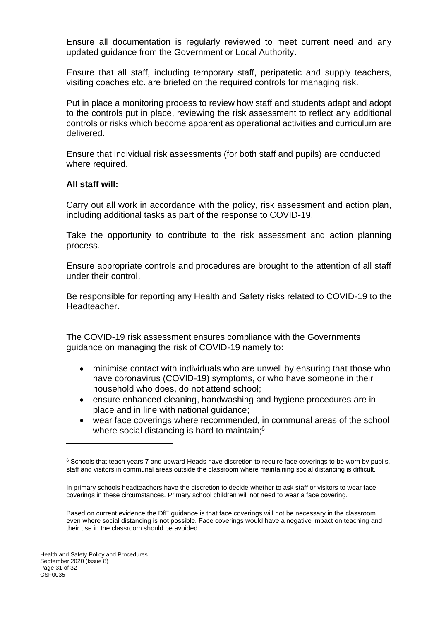Ensure all documentation is regularly reviewed to meet current need and any updated guidance from the Government or Local Authority.

Ensure that all staff, including temporary staff, peripatetic and supply teachers, visiting coaches etc. are briefed on the required controls for managing risk.

Put in place a monitoring process to review how staff and students adapt and adopt to the controls put in place, reviewing the risk assessment to reflect any additional controls or risks which become apparent as operational activities and curriculum are delivered.

Ensure that individual risk assessments (for both staff and pupils) are conducted where required.

# **All staff will:**

Carry out all work in accordance with the policy, risk assessment and action plan, including additional tasks as part of the response to COVID-19.

Take the opportunity to contribute to the risk assessment and action planning process.

Ensure appropriate controls and procedures are brought to the attention of all staff under their control.

Be responsible for reporting any Health and Safety risks related to COVID-19 to the Headteacher.

The COVID-19 risk assessment ensures compliance with the Governments guidance on managing the risk of COVID-19 namely to:

- minimise contact with individuals who are unwell by ensuring that those who have coronavirus (COVID-19) symptoms, or who have someone in their household who does, do not attend school;
- ensure enhanced cleaning, handwashing and hygiene procedures are in place and in line with national guidance;
- wear face coverings where recommended, in communal areas of the school where social distancing is hard to maintain;<sup>6</sup>

<sup>&</sup>lt;sup>6</sup> Schools that teach years 7 and upward Heads have discretion to require face coverings to be worn by pupils, staff and visitors in communal areas outside the classroom where maintaining social distancing is difficult.

In primary schools headteachers have the discretion to decide whether to ask staff or visitors to wear face coverings in these circumstances. Primary school children will not need to wear a face covering.

Based on current evidence the DfE guidance is that face coverings will not be necessary in the classroom even where social distancing is not possible. Face coverings would have a negative impact on teaching and their use in the classroom should be avoided